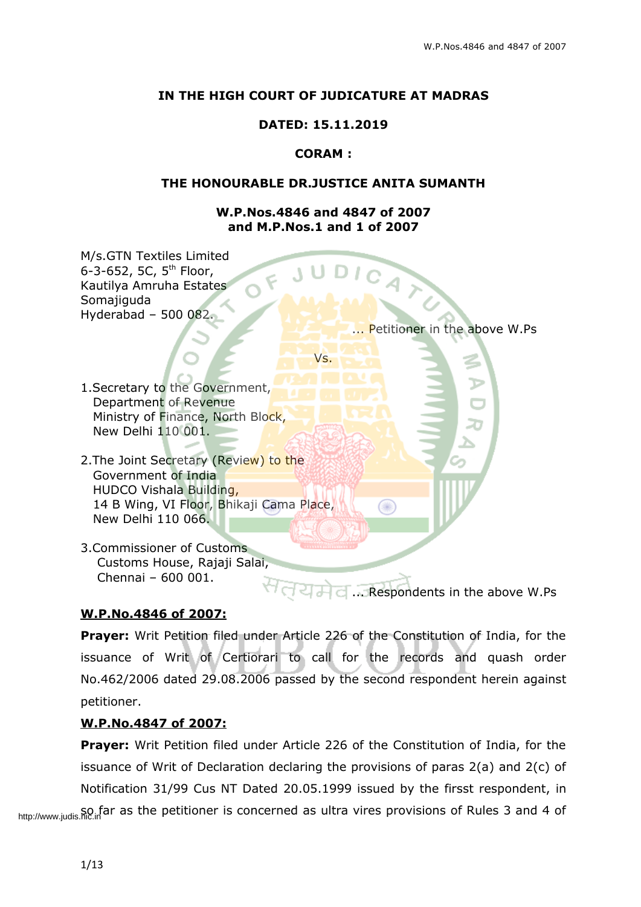# **IN THE HIGH COURT OF JUDICATURE AT MADRAS**

# **DATED: 15.11.2019**

# **CORAM :**

#### **THE HONOURABLE DR.JUSTICE ANITA SUMANTH**

#### **W.P.Nos.4846 and 4847 of 2007 and M.P.Nos.1 and 1 of 2007**



... Respondents in the above W.Ps

# **W.P.No.4846 of 2007:**

**Prayer:** Writ Petition filed under Article 226 of the Constitution of India, for the issuance of Writ of Certiorari to call for the records and quash order No.462/2006 dated 29.08.2006 passed by the second respondent herein against petitioner.

# **W.P.No.4847 of 2007:**

**Prayer:** Writ Petition filed under Article 226 of the Constitution of India, for the issuance of Writ of Declaration declaring the provisions of paras 2(a) and 2(c) of Notification 31/99 Cus NT Dated 20.05.1999 issued by the firsst respondent, in http://www.judis.nic.in<sup>t</sup>ar as the petitioner is concerned as ultra vires provisions of Rules 3 and 4 of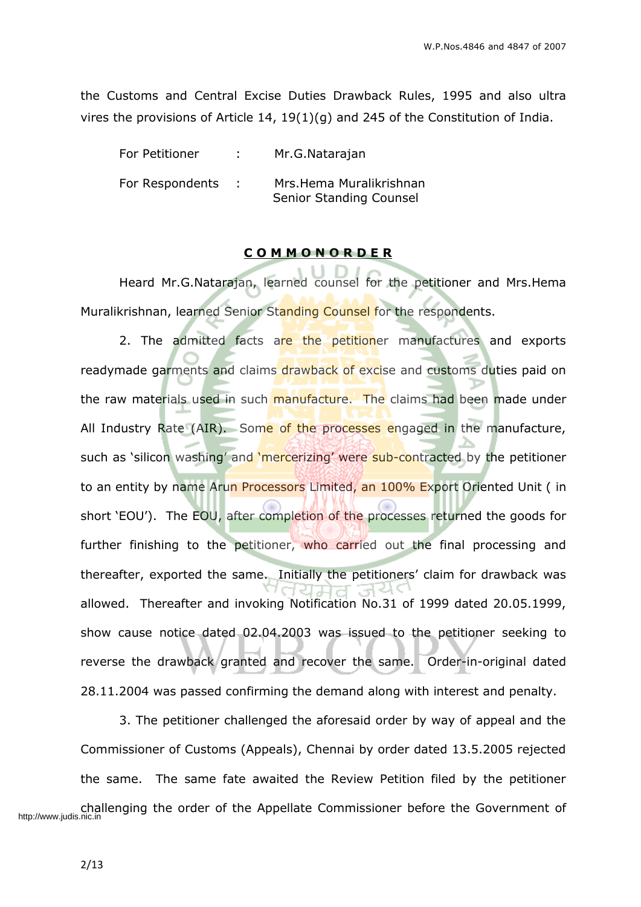the Customs and Central Excise Duties Drawback Rules, 1995 and also ultra vires the provisions of Article 14, 19(1)(g) and 245 of the Constitution of India.

| For Petitioner  | Mr.G.Natarajan                                     |
|-----------------|----------------------------------------------------|
| For Respondents | Mrs.Hema Muralikrishnan<br>Senior Standing Counsel |

#### **C O M M O N O R D E R**

Heard Mr.G.Natarajan, learned counsel for the petitioner and Mrs.Hema Muralikrishnan, learned Senior Standing Counsel for the respondents.

2. The admitted facts are the petitioner manufactures and exports readymade garments and claims drawback of excise and customs duties paid on the raw materials used in such manufacture. The claims had been made under All Industry Rate (AIR). Some of the processes engaged in the manufacture, such as 'silicon washing' and 'mercerizing' were sub-contracted by the petitioner to an entity by name Arun Processors Limited, an 100% Export Oriented Unit (in short 'EOU'). The EOU, after completion of the processes returned the goods for further finishing to the petitioner, who carried out the final processing and thereafter, exported the same. Initially the petitioners' claim for drawback was allowed. Thereafter and invoking Notification No.31 of 1999 dated 20.05.1999, show cause notice dated 02.04.2003 was issued to the petitioner seeking to reverse the drawback granted and recover the same. Order-in-original dated 28.11.2004 was passed confirming the demand along with interest and penalty.

3. The petitioner challenged the aforesaid order by way of appeal and the Commissioner of Customs (Appeals), Chennai by order dated 13.5.2005 rejected the same. The same fate awaited the Review Petition filed by the petitioner http://www.judis.nic.in<br>http://www.judis.nic.in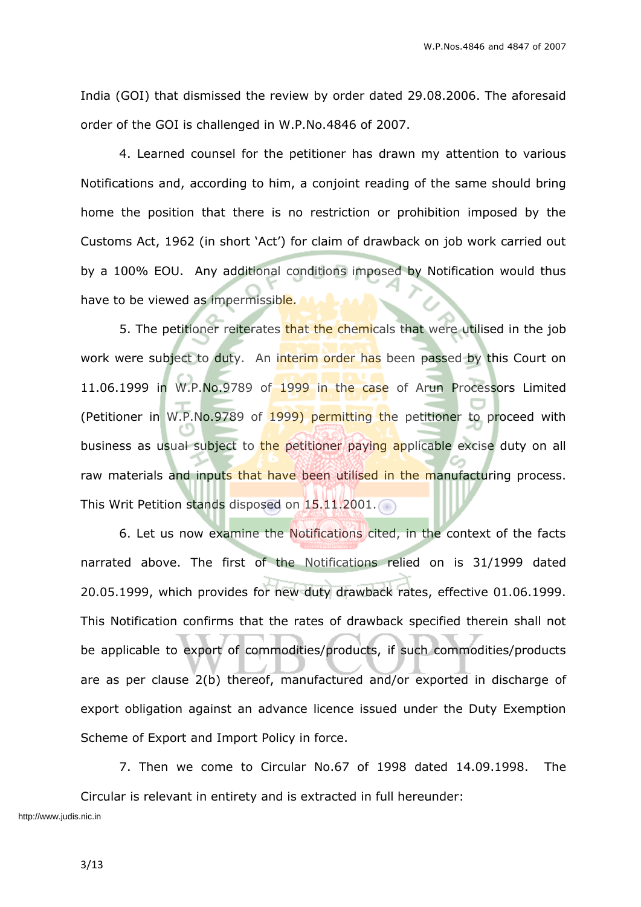India (GOI) that dismissed the review by order dated 29.08.2006. The aforesaid order of the GOI is challenged in W.P.No.4846 of 2007.

4. Learned counsel for the petitioner has drawn my attention to various Notifications and, according to him, a conjoint reading of the same should bring home the position that there is no restriction or prohibition imposed by the Customs Act, 1962 (in short 'Act') for claim of drawback on job work carried out by a 100% EOU. Any additional conditions imposed by Notification would thus have to be viewed as impermissible.

5. The petitioner reiterates that the chemicals that were utilised in the job work were subject to duty. An interim order has been passed by this Court on 11.06.1999 in W.P.No.9789 of 1999 in the case of Arun Processors Limited (Petitioner in W.P.No.9789 of 1999) permitting the petitioner to proceed with business as usual subject to the petitioner paying applicable excise duty on all raw materials and inputs that have been utilised in the manufacturing process. This Writ Petition stands disposed on 15.11.2001.

6. Let us now examine the Notifications cited, in the context of the facts narrated above. The first of the Notifications relied on is 31/1999 dated 20.05.1999, which provides for new duty drawback rates, effective 01.06.1999. This Notification confirms that the rates of drawback specified therein shall not be applicable to export of commodities/products, if such commodities/products are as per clause 2(b) thereof, manufactured and/or exported in discharge of export obligation against an advance licence issued under the Duty Exemption Scheme of Export and Import Policy in force.

7. Then we come to Circular No.67 of 1998 dated 14.09.1998. The Circular is relevant in entirety and is extracted in full hereunder: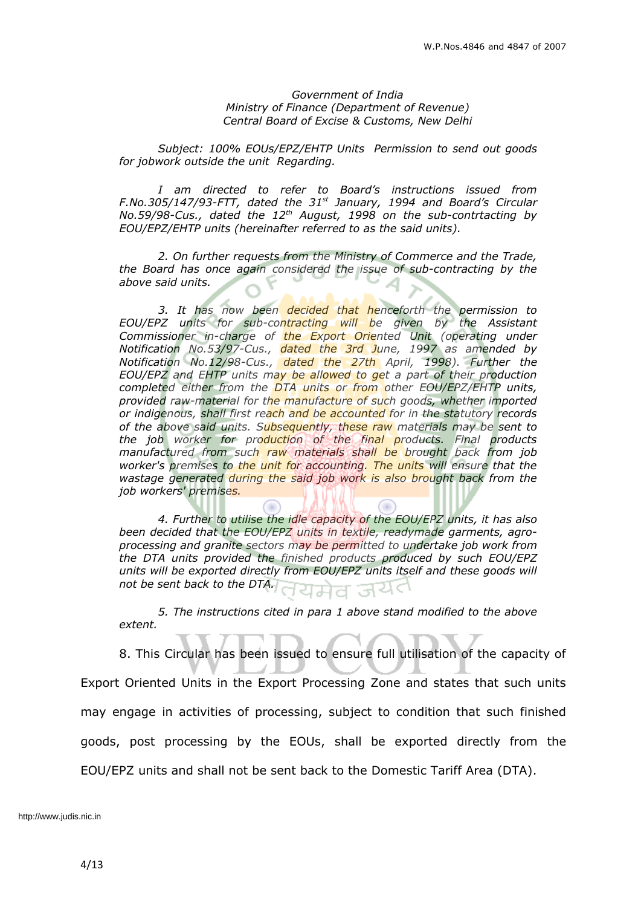#### *Government of India Ministry of Finance (Department of Revenue) Central Board of Excise & Customs, New Delhi*

*Subject: 100% EOUs/EPZ/EHTP Units Permission to send out goods for jobwork outside the unit Regarding.*

*I am directed to refer to Board's instructions issued from F.No.305/147/93-FTT, dated the 31 st January, 1994 and Board's Circular No.59/98-Cus., dated the 12 th August, 1998 on the sub-contrtacting by EOU/EPZ/EHTP units (hereinafter referred to as the said units).*

*2. On further requests from the Ministry of Commerce and the Trade, the Board has once again considered the issue of sub-contracting by the above said units.*

*3. It has now been decided that henceforth the permission to EOU/EPZ units for sub-contracting will be given by the Assistant Commissioner in-charge of the Export Oriented Unit (operating under Notification No.53/97-Cus., dated the 3rd June, 1997 as amended by Notification No.12/98-Cus., dated the 27th April, 1998). Further the EOU/EPZ and EHTP units may be allowed to get a part of their production completed either from the DTA units or from other EOU/EPZ/EHTP units, provided raw-material for the manufacture of such goods, whether imported or indigenous, shall first reach and be accounted for in the statutory records of the above said units. Subsequently, these raw materials may be sent to the job worker for production of the final products. Final products manufactured from such raw materials shall be brought back from job worker's premises to the unit for accounting. The units will ensure that the wastage generated during the said job work is also brought back from the job workers' premises.*

*4. Further to utilise the idle capacity of the EOU/EPZ units, it has also been decided that the EOU/EPZ units in textile, readymade garments, agroprocessing and granite sectors may be permitted to undertake job work from the DTA units provided the finished products produced by such EOU/EPZ units will be exported directly from EOU/EPZ units itself and these goods will not be sent back to the DTA.* उन ਸ਼ਸ਼ਰ

*5. The instructions cited in para 1 above stand modified to the above extent.*

8. This Circular has been issued to ensure full utilisation of the capacity of Export Oriented Units in the Export Processing Zone and states that such units may engage in activities of processing, subject to condition that such finished goods, post processing by the EOUs, shall be exported directly from the EOU/EPZ units and shall not be sent back to the Domestic Tariff Area (DTA).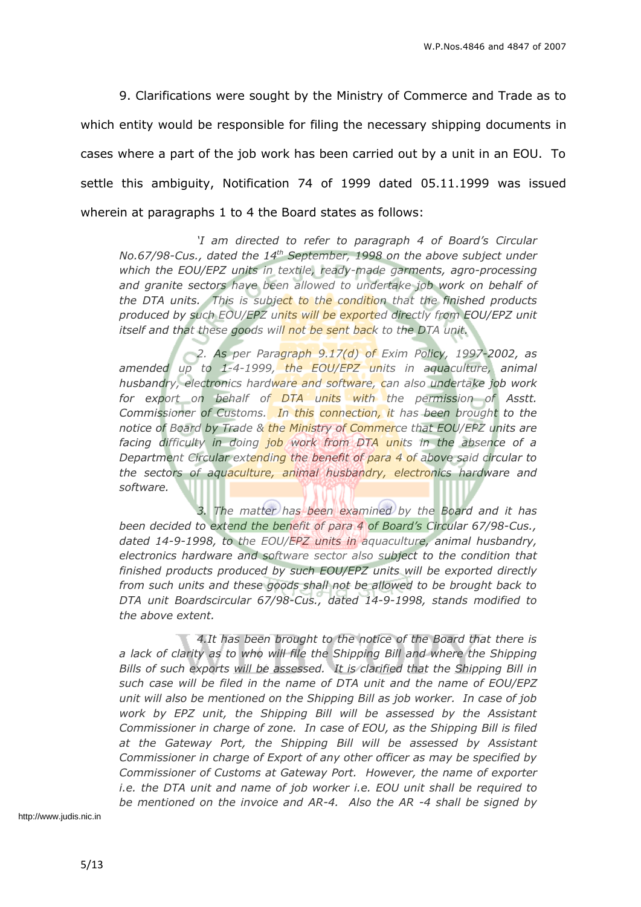9. Clarifications were sought by the Ministry of Commerce and Trade as to which entity would be responsible for filing the necessary shipping documents in cases where a part of the job work has been carried out by a unit in an EOU. To settle this ambiguity, Notification 74 of 1999 dated 05.11.1999 was issued wherein at paragraphs 1 to 4 the Board states as follows:

*'I am directed to refer to paragraph 4 of Board's Circular No.67/98-Cus., dated the 14 th September, 1998 on the above subject under which the EOU/EPZ units in textile, ready-made garments, agro-processing and granite sectors have been allowed to undertake job work on behalf of the DTA units. This is subject to the condition that the finished products produced by such EOU/EPZ units will be exported directly from EOU/EPZ unit itself and that these goods will not be sent back to the DTA unit.*

*2. As per Paragraph 9.17(d) of Exim Policy, 1997-2002, as amended up to 1-4-1999, the EOU/EPZ units in aquaculture, animal husbandry, electronics hardware and software, can also undertake job work for export on behalf of DTA units with the permission of Asstt. Commissioner of Customs. In this connection, it has been brought to the notice of Board by Trade & the Ministry of Commerce that EOU/EPZ units are facing difficulty in doing job work from DTA units in the absence of a Department Circular extending the benefit of para 4 of above said circular to the sectors of aquaculture, animal husbandry, electronics hardware and software.*

*3. The matter has been examined by the Board and it has been decided to extend the benefit of para 4 of Board's Circular 67/98-Cus., dated 14-9-1998, to the EOU/EPZ units in aquaculture, animal husbandry, electronics hardware and software sector also subject to the condition that finished products produced by such EOU/EPZ units will be exported directly from such units and these goods shall not be allowed to be brought back to DTA unit Boardscircular 67/98-Cus., dated 14-9-1998, stands modified to the above extent.*

*4.It has been brought to the notice of the Board that there is a lack of clarity as to who will file the Shipping Bill and where the Shipping Bills of such exports will be assessed. It is clarified that the Shipping Bill in such case will be filed in the name of DTA unit and the name of EOU/EPZ unit will also be mentioned on the Shipping Bill as job worker. In case of job work by EPZ unit, the Shipping Bill will be assessed by the Assistant Commissioner in charge of zone. In case of EOU, as the Shipping Bill is filed at the Gateway Port, the Shipping Bill will be assessed by Assistant Commissioner in charge of Export of any other officer as may be specified by Commissioner of Customs at Gateway Port. However, the name of exporter i.e. the DTA unit and name of job worker i.e. EOU unit shall be required to be mentioned on the invoice and AR-4. Also the AR -4 shall be signed by*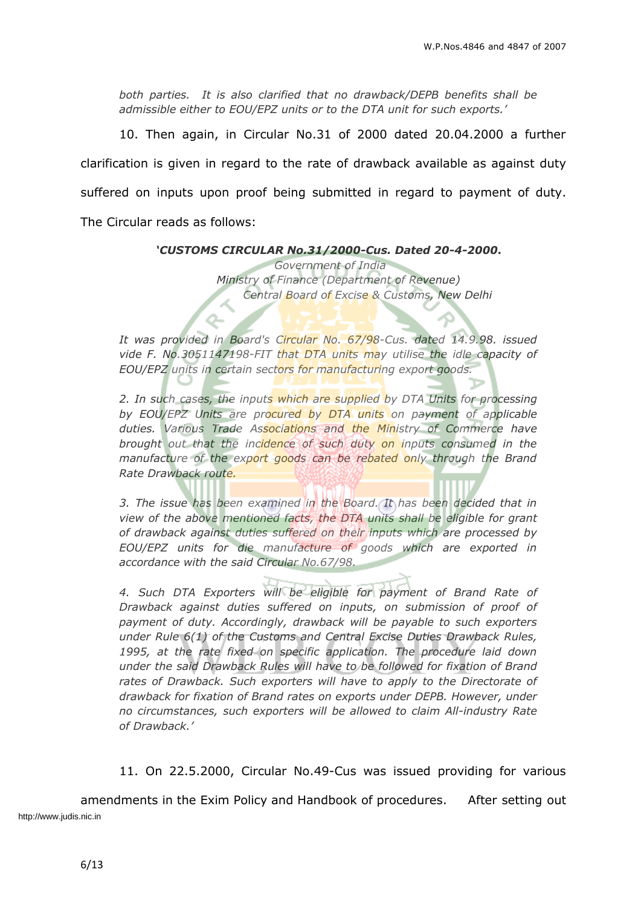*both parties. It is also clarified that no drawback/DEPB benefits shall be admissible either to EOU/EPZ units or to the DTA unit for such exports.'*

10. Then again, in Circular No.31 of 2000 dated 20.04.2000 a further clarification is given in regard to the rate of drawback available as against duty suffered on inputs upon proof being submitted in regard to payment of duty. The Circular reads as follows:

*'CUSTOMS CIRCULAR No.31/2000-Cus. Dated 20-4-2000***.**

*Government of India Ministry of Finance (Department of Revenue) Central Board of Excise & Customs, New Delhi*

*It was provided in Board's Circular No. 67/98-Cus. dated 14.9.98. issued vide F. No.3051147198-FIT that DTA units may utilise the idle capacity of EOU/EPZ units in certain sectors for manufacturing export goods.*

Q.

*2. In such cases, the inputs which are supplied by DTA Units for processing by EOU/EPZ Units are procured by DTA units on payment of applicable duties. Various Trade Associations and the Ministry of Commerce have brought out that the incidence of such duty on inputs consumed in the manufacture of the export goods can be rebated only through the Brand Rate Drawback route.*

*3. The issue has been examined in the Board. It has been decided that in view of the above mentioned facts, the DTA units shall be eligible for grant of drawback against duties suffered on their inputs which are processed by EOU/EPZ units for die manufacture of goods which are exported in accordance with the said Circular No.67/98.*

*4. Such DTA Exporters will be eligible for payment of Brand Rate of Drawback against duties suffered on inputs, on submission of proof of payment of duty. Accordingly, drawback will be payable to such exporters under Rule 6(1) of the Customs and Central Excise Duties Drawback Rules, 1995, at the rate fixed on specific application. The procedure laid down under the said Drawback Rules will have to be followed for fixation of Brand rates of Drawback. Such exporters will have to apply to the Directorate of drawback for fixation of Brand rates on exports under DEPB. However, under no circumstances, such exporters will be allowed to claim All-industry Rate of Drawback.'*

11. On 22.5.2000, Circular No.49-Cus was issued providing for various

amendments in the Exim Policy and Handbook of procedures. After setting out http://www.judis.nic.in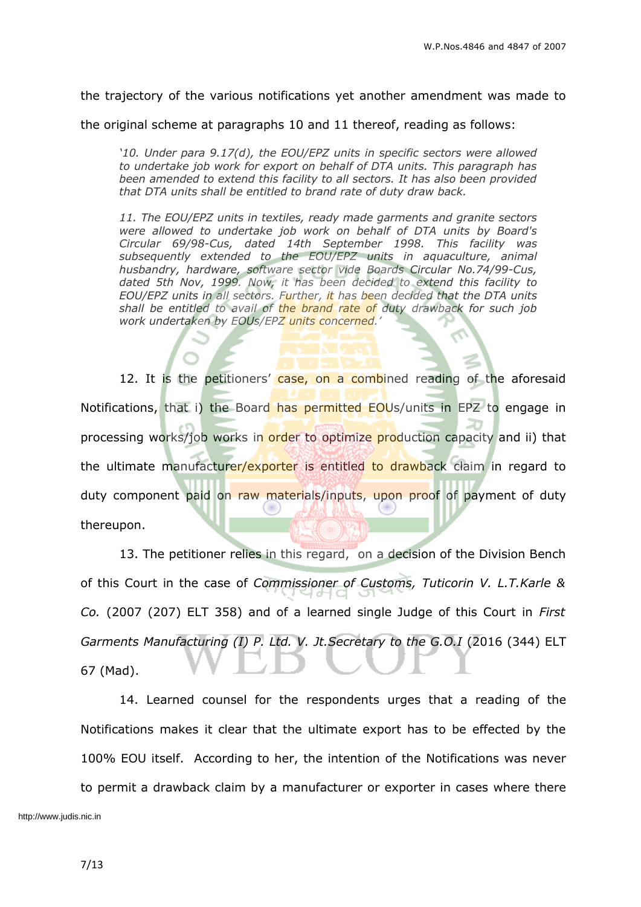the trajectory of the various notifications yet another amendment was made to

the original scheme at paragraphs 10 and 11 thereof, reading as follows:

*'10. Under para 9.17(d), the EOU/EPZ units in specific sectors were allowed to undertake job work for export on behalf of DTA units. This paragraph has been amended to extend this facility to all sectors. It has also been provided that DTA units shall be entitled to brand rate of duty draw back.*

*11. The EOU/EPZ units in textiles, ready made garments and granite sectors were allowed to undertake job work on behalf of DTA units by Board's Circular 69/98-Cus, dated 14th September 1998. This facility was subsequently extended to the EOU/EPZ units in aquaculture, animal husbandry, hardware, software sector vide Boards Circular No.74/99-Cus, dated 5th Nov, 1999. Now, it has been decided to extend this facility to EOU/EPZ units in all sectors. Further, it has been decided that the DTA units shall be entitled to avail of the brand rate of duty drawback for such job work undertaken by EOUs/EPZ units concerned.'*

12. It is the petitioners' case, on a combined reading of the aforesaid Notifications, that i) the Board has permitted EOUs/units in EPZ to engage in processing works/job works in order to optimize production capacity and ii) that the ultimate manufacturer/exporter is entitled to drawback claim in regard to duty component paid on raw materials/inputs, upon proof of payment of duty thereupon.

13. The petitioner relies in this regard, on a decision of the Division Bench of this Court in the case of *Commissioner of Customs, Tuticorin V. L.T.Karle & Co.* (2007 (207) ELT 358) and of a learned single Judge of this Court in *First Garments Manufacturing (I) P. Ltd. V. Jt.Secretary to the G.O.I* (2016 (344) ELT 67 (Mad).

14. Learned counsel for the respondents urges that a reading of the Notifications makes it clear that the ultimate export has to be effected by the 100% EOU itself. According to her, the intention of the Notifications was never to permit a drawback claim by a manufacturer or exporter in cases where there http://www.judis.nic.in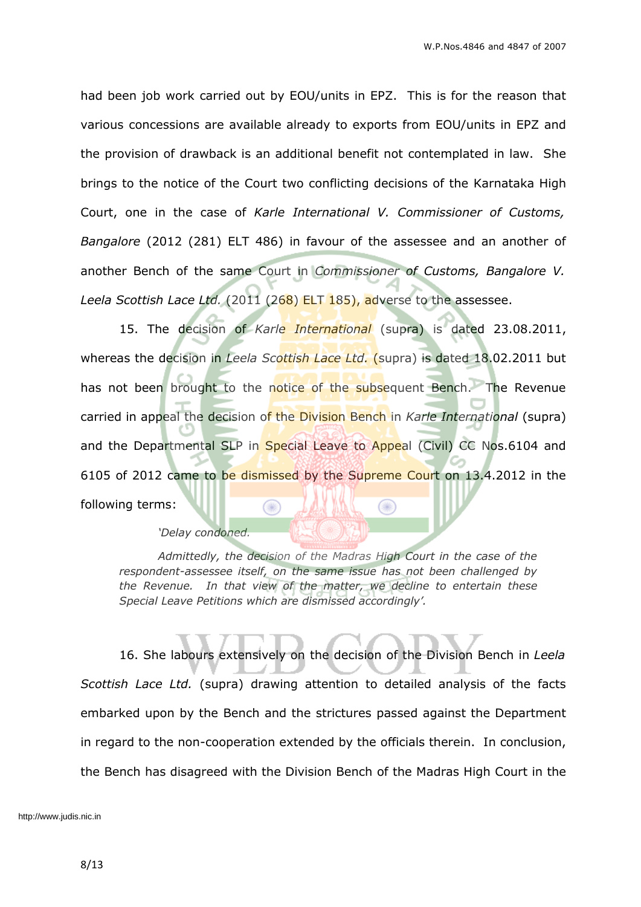had been job work carried out by EOU/units in EPZ. This is for the reason that various concessions are available already to exports from EOU/units in EPZ and the provision of drawback is an additional benefit not contemplated in law. She brings to the notice of the Court two conflicting decisions of the Karnataka High Court, one in the case of *Karle International V. Commissioner of Customs, Bangalore* (2012 (281) ELT 486) in favour of the assessee and an another of another Bench of the same Court in *Commissioner of Customs, Bangalore V. Leela Scottish Lace Ltd.* (2011 (268) ELT 185), adverse to the assessee.

15. The decision of *Karle International* (supra) is dated 23.08.2011, whereas the decision in *Leela Scottish Lace Ltd.* (supra) is dated 18.02.2011 but has not been brought to the notice of the subsequent Bench. The Revenue carried in appeal the decision of the Division Bench in *Karle International* (supra) and the Departmental SLP in Special Leave to Appeal (Civil) CC Nos.6104 and 6105 of 2012 came to be dismissed by the Supreme Court on 13.4.2012 in the following terms: œ ×

*'Delay condoned.*

*Admittedly, the decision of the Madras High Court in the case of the respondent-assessee itself, on the same issue has not been challenged by the Revenue. In that view of the matter, we decline to entertain these Special Leave Petitions which are dismissed accordingly'.*

16. She labours extensively on the decision of the Division Bench in *Leela Scottish Lace Ltd.* (supra) drawing attention to detailed analysis of the facts embarked upon by the Bench and the strictures passed against the Department in regard to the non-cooperation extended by the officials therein. In conclusion, the Bench has disagreed with the Division Bench of the Madras High Court in the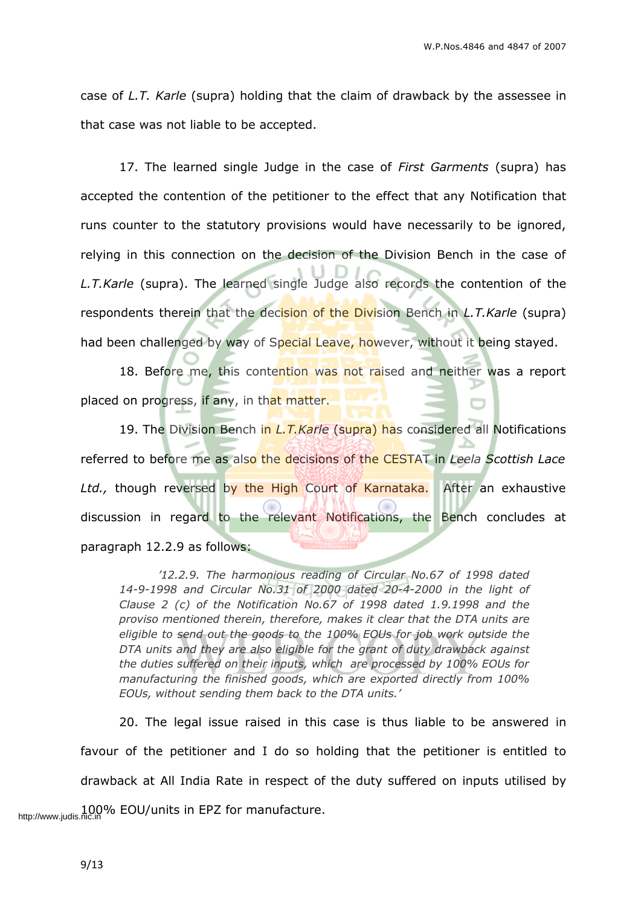case of *L.T. Karle* (supra) holding that the claim of drawback by the assessee in that case was not liable to be accepted.

17. The learned single Judge in the case of *First Garments* (supra) has accepted the contention of the petitioner to the effect that any Notification that runs counter to the statutory provisions would have necessarily to be ignored, relying in this connection on the decision of the Division Bench in the case of *L.T.Karle* (supra). The learned single Judge also records the contention of the respondents therein that the decision of the Division Bench in *L.T.Karle* (supra) had been challenged by way of Special Leave, however, without it being stayed.

18. Before me, this contention was not raised and neither was a report placed on progress, if any, in that matter.

19. The Division Bench in *L.T.Karle* (supra) has considered all Notifications referred to before me as also the decisions of the CESTAT in *Leela Scottish Lace* Ltd., though reversed by the High Court of Karnataka. After an exhaustive discussion in regard to the relevant Notifications, the Bench concludes at paragraph 12.2.9 as follows:

*'12.2.9. The harmonious reading of Circular No.67 of 1998 dated 14-9-1998 and Circular No.31 of 2000 dated 20-4-2000 in the light of Clause 2 (c) of the Notification No.67 of 1998 dated 1.9.1998 and the proviso mentioned therein, therefore, makes it clear that the DTA units are eligible to send out the goods to the 100% EOUs for job work outside the DTA units and they are also eligible for the grant of duty drawback against the duties suffered on their inputs, which are processed by 100% EOUs for manufacturing the finished goods, which are exported directly from 100% EOUs, without sending them back to the DTA units.'*

20. The legal issue raised in this case is thus liable to be answered in favour of the petitioner and I do so holding that the petitioner is entitled to drawback at All India Rate in respect of the duty suffered on inputs utilised by http://www.judis.nic.in COU/units in EPZ for manufacture.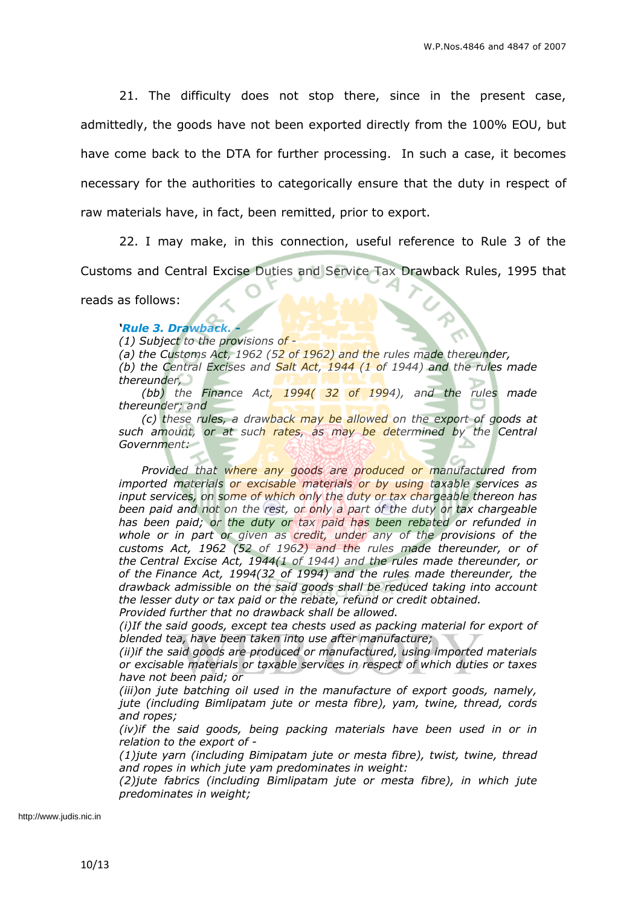21. The difficulty does not stop there, since in the present case, admittedly, the goods have not been exported directly from the 100% EOU, but have come back to the DTA for further processing. In such a case, it becomes necessary for the authorities to categorically ensure that the duty in respect of raw materials have, in fact, been remitted, prior to export.

22. I may make, in this connection, useful reference to Rule 3 of the Customs and Central Excise Duties and Service Tax Drawback Rules, 1995 that

reads as follows:

*'Rule 3. Drawback. -*

*(1) Subject to the provisions of -*

*(a) the Customs Act, 1962 (52 of 1962) and the rules made thereunder, (b) the Central Excises and Salt Act, 1944 (1 of 1944) and the rules made thereunder,*

*(bb) the Finance Act, 1994( 32 of 1994), and the rules made thereunder; and*

*(c) these rules, a drawback may be allowed on the export of goods at such amount, or at such rates, as may be determined by the Central Government:*

*Provided that where any goods are produced or manufactured from imported materials or excisable materials or by using taxable services as input services, on some of which only the duty or tax chargeable thereon has been paid and not on the rest, or only a part of the duty or tax chargeable has been paid; or the duty or tax paid has been rebated or refunded in whole or in part or given as credit, under any of the provisions of the customs Act, 1962 (52 of 1962) and the rules made thereunder, or of the Central Excise Act, 1944(1 of 1944) and the rules made thereunder, or of the Finance Act, 1994(32 of 1994) and the rules made thereunder, the drawback admissible on the said goods shall be reduced taking into account the lesser duty or tax paid or the rebate, refund or credit obtained.*

*Provided further that no drawback shall be allowed. (i)If the said goods, except tea chests used as packing material for export of*

*blended tea, have been taken into use after manufacture;*

*(ii)if the said goods are produced or manufactured, using imported materials or excisable materials or taxable services in respect of which duties or taxes have not been paid; or*

*(iii)on jute batching oil used in the manufacture of export goods, namely, jute (including Bimlipatam jute or mesta fibre), yam, twine, thread, cords and ropes;*

*(iv)if the said goods, being packing materials have been used in or in relation to the export of -*

*(1)jute yarn (including Bimipatam jute or mesta fibre), twist, twine, thread and ropes in which jute yam predominates in weight:*

*(2)jute fabrics (including Bimlipatam jute or mesta fibre), in which jute predominates in weight;*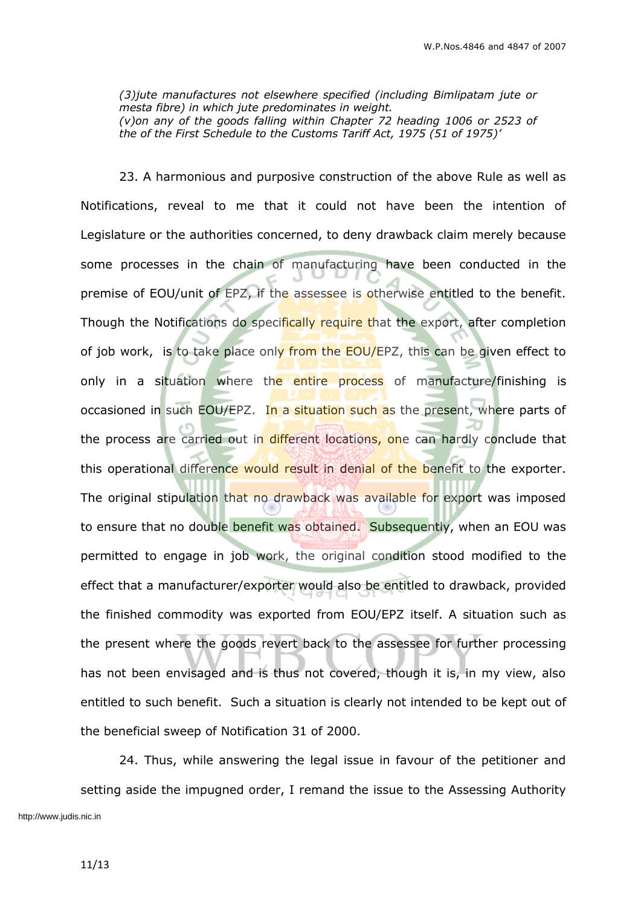*(3)jute manufactures not elsewhere specified (including Bimlipatam jute or mesta fibre) in which jute predominates in weight. (v)on any of the goods falling within Chapter 72 heading 1006 or 2523 of the of the First Schedule to the Customs Tariff Act, 1975 (51 of 1975)'*

23. A harmonious and purposive construction of the above Rule as well as Notifications, reveal to me that it could not have been the intention of Legislature or the authorities concerned, to deny drawback claim merely because some processes in the chain of manufacturing have been conducted in the premise of EOU/unit of EPZ, if the assessee is otherwise entitled to the benefit. Though the Notifications do specifically require that the export, after completion of job work, is to take place only from the EOU/EPZ, this can be given effect to only in a situation where the entire process of manufacture/finishing is occasioned in such EOU/EPZ. In a situation such as the present, where parts of the process are carried out in different locations, one can hardly conclude that this operational difference would result in denial of the benefit to the exporter. The original stipulation that no drawback was available for export was imposed to ensure that no double benefit was obtained. Subsequently, when an EOU was permitted to engage in job work, the original condition stood modified to the effect that a manufacturer/exporter would also be entitled to drawback, provided the finished commodity was exported from EOU/EPZ itself. A situation such as the present where the goods revert back to the assessee for further processing has not been envisaged and is thus not covered, though it is, in my view, also entitled to such benefit. Such a situation is clearly not intended to be kept out of the beneficial sweep of Notification 31 of 2000.

24. Thus, while answering the legal issue in favour of the petitioner and setting aside the impugned order, I remand the issue to the Assessing Authority http://www.judis.nic.in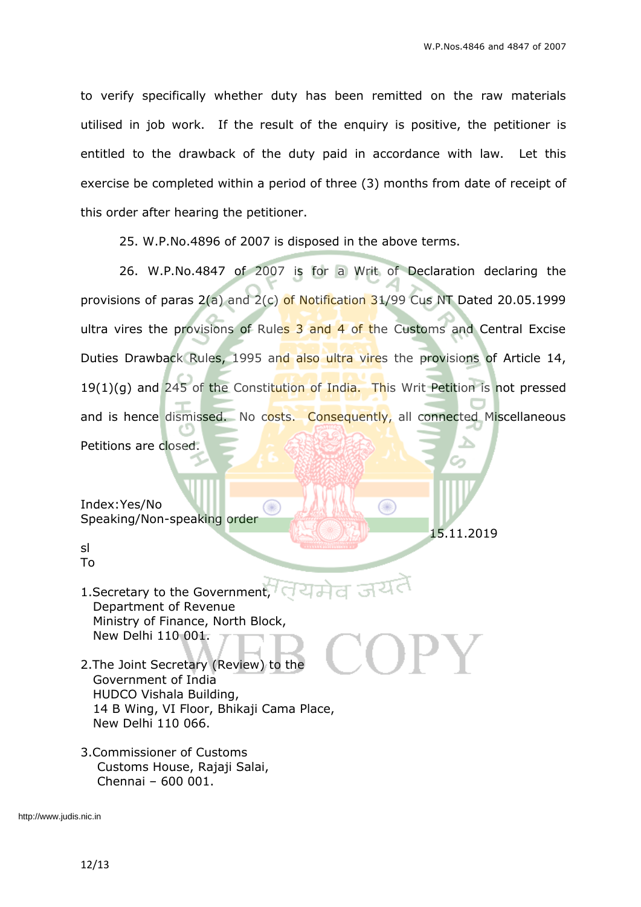15.11.2019

¥

to verify specifically whether duty has been remitted on the raw materials utilised in job work. If the result of the enquiry is positive, the petitioner is entitled to the drawback of the duty paid in accordance with law. Let this exercise be completed within a period of three (3) months from date of receipt of this order after hearing the petitioner.

25. W.P.No.4896 of 2007 is disposed in the above terms.

۰

26. W.P.No.4847 of 2007 is for a Writ of Declaration declaring the provisions of paras  $2(a)$  and  $2(c)$  of Notification 31/99 Cus NT Dated 20.05.1999 ultra vires the provisions of Rules 3 and 4 of the Customs and Central Excise Duties Drawback Rules, 1995 and also ultra vires the provisions of Article 14,  $19(1)(q)$  and 245 of the Constitution of India. This Writ Petition is not pressed and is hence dismissed. No costs. Consequently, all connected Miscellaneous Petitions are closed.

Index:Yes/No Speaking/Non-speaking order

sl To

- 1. Secretary to the Government, Department of Revenue Ministry of Finance, North Block, New Delhi 110 001.
- 2.The Joint Secretary (Review) to the Government of India HUDCO Vishala Building, 14 B Wing, VI Floor, Bhikaji Cama Place, New Delhi 110 066.
- 3.Commissioner of Customs Customs House, Rajaji Salai, Chennai – 600 001.